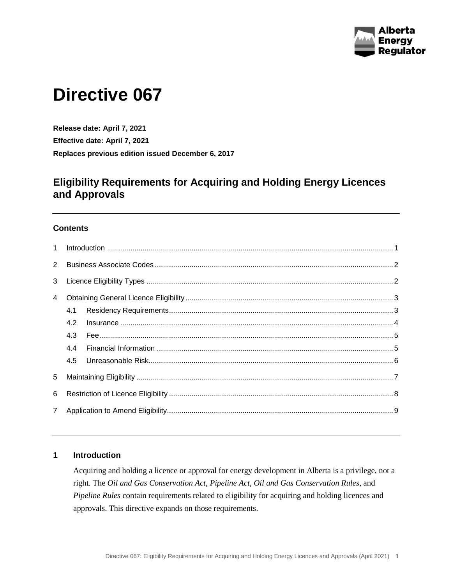

# **Directive 067**

**Release date: April 7, 2021 Effective date: April 7, 2021 Replaces previous edition issued December 6, 2017**

# **Eligibility Requirements for Acquiring and Holding Energy Licences and Approvals**

#### **Contents**

| $\overline{2}$ |     |  |  |
|----------------|-----|--|--|
| 3              |     |  |  |
| $\overline{4}$ |     |  |  |
|                |     |  |  |
|                |     |  |  |
|                |     |  |  |
|                | 4.4 |  |  |
|                |     |  |  |
| 5              |     |  |  |
| 6              |     |  |  |
| $7^{\circ}$    |     |  |  |

#### <span id="page-0-0"></span>**1 Introduction**

Acquiring and holding a licence or approval for energy development in Alberta is a privilege, not a right. The *Oil and Gas Conservation Act*, *Pipeline Act*, *Oil and Gas Conservation Rules*, and *Pipeline Rules* contain requirements related to eligibility for acquiring and holding licences and approvals. This directive expands on those requirements.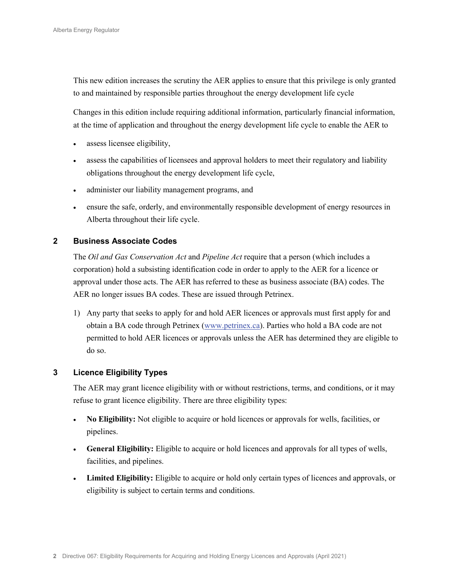This new edition increases the scrutiny the AER applies to ensure that this privilege is only granted to and maintained by responsible parties throughout the energy development life cycle

Changes in this edition include requiring additional information, particularly financial information, at the time of application and throughout the energy development life cycle to enable the AER to

- assess licensee eligibility,
- assess the capabilities of licensees and approval holders to meet their regulatory and liability obligations throughout the energy development life cycle,
- administer our liability management programs, and
- ensure the safe, orderly, and environmentally responsible development of energy resources in Alberta throughout their life cycle.

#### <span id="page-1-0"></span>**2 Business Associate Codes**

The *Oil and Gas Conservation Act* and *Pipeline Act* require that a person (which includes a corporation) hold a subsisting identification code in order to apply to the AER for a licence or approval under those acts. The AER has referred to these as business associate (BA) codes. The AER no longer issues BA codes. These are issued through Petrinex.

1) Any party that seeks to apply for and hold AER licences or approvals must first apply for and obtain a BA code through Petrinex [\(www.petrinex.ca\)](http://www.petrinex.ca/). Parties who hold a BA code are not permitted to hold AER licences or approvals unless the AER has determined they are eligible to do so.

#### <span id="page-1-1"></span>**3 Licence Eligibility Types**

The AER may grant licence eligibility with or without restrictions, terms, and conditions, or it may refuse to grant licence eligibility. There are three eligibility types:

- **No Eligibility:** Not eligible to acquire or hold licences or approvals for wells, facilities, or pipelines.
- **General Eligibility:** Eligible to acquire or hold licences and approvals for all types of wells, facilities, and pipelines.
- **Limited Eligibility:** Eligible to acquire or hold only certain types of licences and approvals, or eligibility is subject to certain terms and conditions.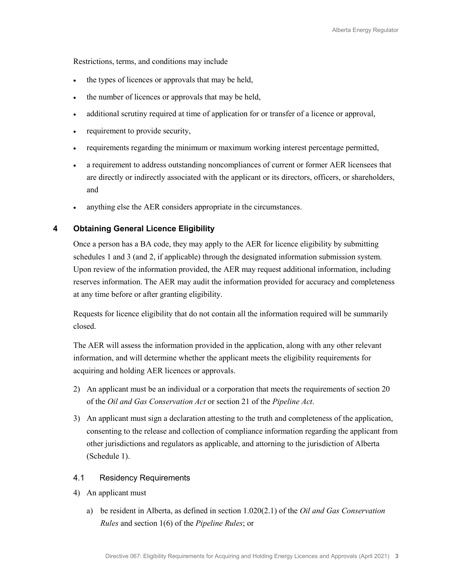Restrictions, terms, and conditions may include

- the types of licences or approvals that may be held,
- the number of licences or approvals that may be held,
- additional scrutiny required at time of application for or transfer of a licence or approval,
- requirement to provide security,
- requirements regarding the minimum or maximum working interest percentage permitted,
- a requirement to address outstanding noncompliances of current or former AER licensees that are directly or indirectly associated with the applicant or its directors, officers, or shareholders, and
- anything else the AER considers appropriate in the circumstances.

#### <span id="page-2-0"></span>**4 Obtaining General Licence Eligibility**

Once a person has a BA code, they may apply to the AER for licence eligibility by submitting schedules 1 and 3 (and 2, if applicable) through the designated information submission system. Upon review of the information provided, the AER may request additional information, including reserves information. The AER may audit the information provided for accuracy and completeness at any time before or after granting eligibility.

Requests for licence eligibility that do not contain all the information required will be summarily closed.

The AER will assess the information provided in the application, along with any other relevant information, and will determine whether the applicant meets the eligibility requirements for acquiring and holding AER licences or approvals.

- 2) An applicant must be an individual or a corporation that meets the requirements of section 20 of the *Oil and Gas Conservation Act* or section 21 of the *Pipeline Act*.
- 3) An applicant must sign a declaration attesting to the truth and completeness of the application, consenting to the release and collection of compliance information regarding the applicant from other jurisdictions and regulators as applicable, and attorning to the jurisdiction of Alberta (Schedule 1).

#### <span id="page-2-1"></span>4.1 Residency Requirements

- 4) An applicant must
	- a) be resident in Alberta, as defined in section 1.020(2.1) of the *Oil and Gas Conservation Rules* and section 1(6) of the *Pipeline Rules*; or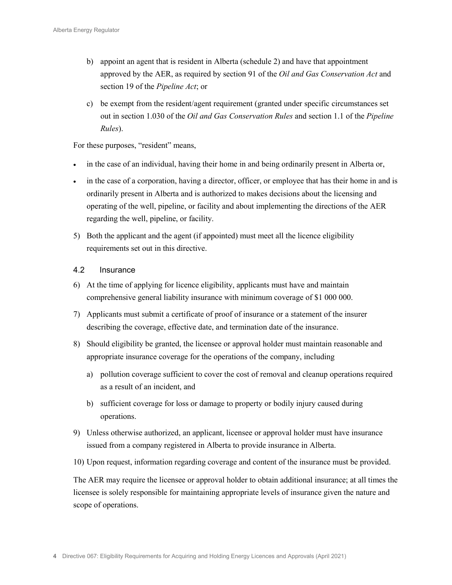- b) appoint an agent that is resident in Alberta (schedule 2) and have that appointment approved by the AER, as required by section 91 of the *Oil and Gas Conservation Act* and section 19 of the *Pipeline Act*; or
- c) be exempt from the resident/agent requirement (granted under specific circumstances set out in section 1.030 of the *Oil and Gas Conservation Rules* and section 1.1 of the *Pipeline Rules*).

For these purposes, "resident" means,

- in the case of an individual, having their home in and being ordinarily present in Alberta or,
- in the case of a corporation, having a director, officer, or employee that has their home in and is ordinarily present in Alberta and is authorized to makes decisions about the licensing and operating of the well, pipeline, or facility and about implementing the directions of the AER regarding the well, pipeline, or facility.
- 5) Both the applicant and the agent (if appointed) must meet all the licence eligibility requirements set out in this directive.

#### <span id="page-3-0"></span>4.2 Insurance

- 6) At the time of applying for licence eligibility, applicants must have and maintain comprehensive general liability insurance with minimum coverage of \$1 000 000.
- 7) Applicants must submit a certificate of proof of insurance or a statement of the insurer describing the coverage, effective date, and termination date of the insurance.
- 8) Should eligibility be granted, the licensee or approval holder must maintain reasonable and appropriate insurance coverage for the operations of the company, including
	- a) pollution coverage sufficient to cover the cost of removal and cleanup operations required as a result of an incident, and
	- b) sufficient coverage for loss or damage to property or bodily injury caused during operations.
- 9) Unless otherwise authorized, an applicant, licensee or approval holder must have insurance issued from a company registered in Alberta to provide insurance in Alberta.
- 10) Upon request, information regarding coverage and content of the insurance must be provided.

The AER may require the licensee or approval holder to obtain additional insurance; at all times the licensee is solely responsible for maintaining appropriate levels of insurance given the nature and scope of operations.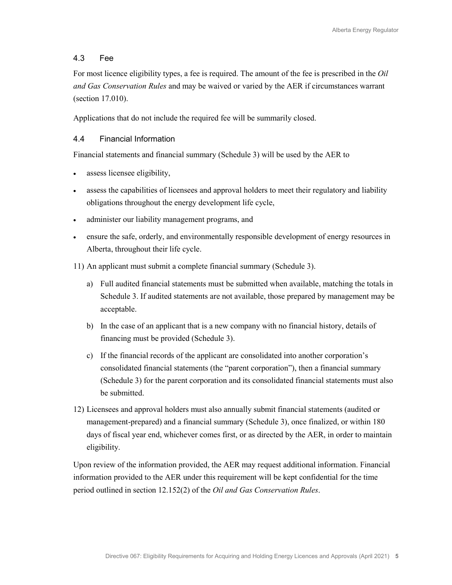#### <span id="page-4-0"></span>4.3 Fee

For most licence eligibility types, a fee is required. The amount of the fee is prescribed in the *Oil and Gas Conservation Rules* and may be waived or varied by the AER if circumstances warrant (section 17.010).

Applications that do not include the required fee will be summarily closed.

#### <span id="page-4-1"></span>4.4 Financial Information

Financial statements and financial summary (Schedule 3) will be used by the AER to

- assess licensee eligibility,
- assess the capabilities of licensees and approval holders to meet their regulatory and liability obligations throughout the energy development life cycle,
- administer our liability management programs, and
- ensure the safe, orderly, and environmentally responsible development of energy resources in Alberta, throughout their life cycle.

11) An applicant must submit a complete financial summary (Schedule 3).

- a) Full audited financial statements must be submitted when available, matching the totals in Schedule 3. If audited statements are not available, those prepared by management may be acceptable.
- b) In the case of an applicant that is a new company with no financial history, details of financing must be provided (Schedule 3).
- c) If the financial records of the applicant are consolidated into another corporation's consolidated financial statements (the "parent corporation"), then a financial summary (Schedule 3) for the parent corporation and its consolidated financial statements must also be submitted.
- <span id="page-4-2"></span>12) Licensees and approval holders must also annually submit financial statements (audited or management-prepared) and a financial summary (Schedule 3), once finalized, or within 180 days of fiscal year end, whichever comes first, or as directed by the AER, in order to maintain eligibility.

Upon review of the information provided, the AER may request additional information. Financial information provided to the AER under this requirement will be kept confidential for the time period outlined in section 12.152(2) of the *Oil and Gas Conservation Rules*.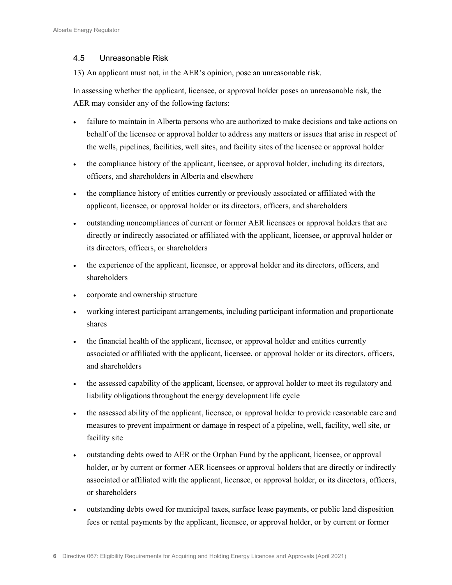#### <span id="page-5-0"></span>4.5 Unreasonable Risk

13) An applicant must not, in the AER's opinion, pose an unreasonable risk.

In assessing whether the applicant, licensee, or approval holder poses an unreasonable risk, the AER may consider any of the following factors:

- failure to maintain in Alberta persons who are authorized to make decisions and take actions on behalf of the licensee or approval holder to address any matters or issues that arise in respect of the wells, pipelines, facilities, well sites, and facility sites of the licensee or approval holder
- the compliance history of the applicant, licensee, or approval holder, including its directors, officers, and shareholders in Alberta and elsewhere
- the compliance history of entities currently or previously associated or affiliated with the applicant, licensee, or approval holder or its directors, officers, and shareholders
- outstanding noncompliances of current or former AER licensees or approval holders that are directly or indirectly associated or affiliated with the applicant, licensee, or approval holder or its directors, officers, or shareholders
- the experience of the applicant, licensee, or approval holder and its directors, officers, and shareholders
- corporate and ownership structure
- working interest participant arrangements, including participant information and proportionate shares
- the financial health of the applicant, licensee, or approval holder and entities currently associated or affiliated with the applicant, licensee, or approval holder or its directors, officers, and shareholders
- the assessed capability of the applicant, licensee, or approval holder to meet its regulatory and liability obligations throughout the energy development life cycle
- the assessed ability of the applicant, licensee, or approval holder to provide reasonable care and measures to prevent impairment or damage in respect of a pipeline, well, facility, well site, or facility site
- outstanding debts owed to AER or the Orphan Fund by the applicant, licensee, or approval holder, or by current or former AER licensees or approval holders that are directly or indirectly associated or affiliated with the applicant, licensee, or approval holder, or its directors, officers, or shareholders
- outstanding debts owed for municipal taxes, surface lease payments, or public land disposition fees or rental payments by the applicant, licensee, or approval holder, or by current or former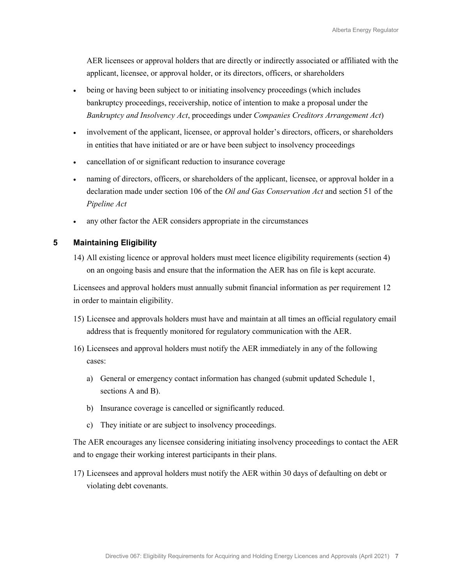AER licensees or approval holders that are directly or indirectly associated or affiliated with the applicant, licensee, or approval holder, or its directors, officers, or shareholders

- being or having been subject to or initiating insolvency proceedings (which includes bankruptcy proceedings, receivership, notice of intention to make a proposal under the *Bankruptcy and Insolvency Act*, proceedings under *Companies Creditors Arrangement Act*)
- involvement of the applicant, licensee, or approval holder's directors, officers, or shareholders in entities that have initiated or are or have been subject to insolvency proceedings
- cancellation of or significant reduction to insurance coverage
- naming of directors, officers, or shareholders of the applicant, licensee, or approval holder in a declaration made under section 106 of the *Oil and Gas Conservation Act* and section 51 of the *Pipeline Act*
- any other factor the AER considers appropriate in the circumstances

### <span id="page-6-0"></span>**5 Maintaining Eligibility**

14) All existing licence or approval holders must meet licence eligibility requirements (section [4\)](#page-2-0) on an ongoing basis and ensure that the information the AER has on file is kept accurate.

Licensees and approval holders must annually submit financial information as per requirement [12](#page-4-2) in order to maintain eligibility.

- 15) Licensee and approvals holders must have and maintain at all times an official regulatory email address that is frequently monitored for regulatory communication with the AER.
- 16) Licensees and approval holders must notify the AER immediately in any of the following cases:
	- a) General or emergency contact information has changed (submit updated Schedule 1, sections A and B).
	- b) Insurance coverage is cancelled or significantly reduced.
	- c) They initiate or are subject to insolvency proceedings.

The AER encourages any licensee considering initiating insolvency proceedings to contact the AER and to engage their working interest participants in their plans.

17) Licensees and approval holders must notify the AER within 30 days of defaulting on debt or violating debt covenants.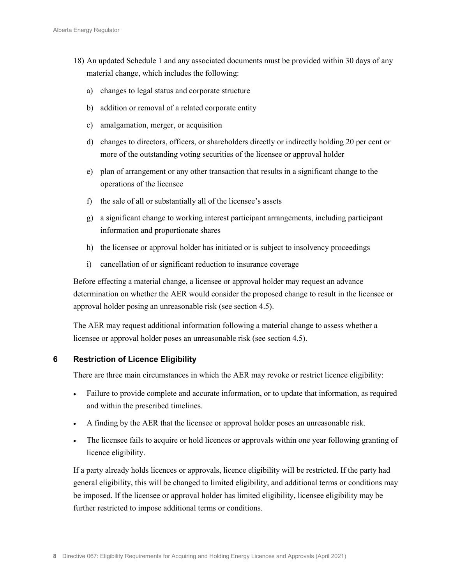- 18) An updated Schedule 1 and any associated documents must be provided within 30 days of any material change, which includes the following:
	- a) changes to legal status and corporate structure
	- b) addition or removal of a related corporate entity
	- c) amalgamation, merger, or acquisition
	- d) changes to directors, officers, or shareholders directly or indirectly holding 20 per cent or more of the outstanding voting securities of the licensee or approval holder
	- e) plan of arrangement or any other transaction that results in a significant change to the operations of the licensee
	- f) the sale of all or substantially all of the licensee's assets
	- g) a significant change to working interest participant arrangements, including participant information and proportionate shares
	- h) the licensee or approval holder has initiated or is subject to insolvency proceedings
	- i) cancellation of or significant reduction to insurance coverage

Before effecting a material change, a licensee or approval holder may request an advance determination on whether the AER would consider the proposed change to result in the licensee or approval holder posing an unreasonable risk (see section [4.5\)](#page-5-0).

The AER may request additional information following a material change to assess whether a licensee or approval holder poses an unreasonable risk (see section [4.5\)](#page-5-0).

#### <span id="page-7-0"></span>**6 Restriction of Licence Eligibility**

There are three main circumstances in which the AER may revoke or restrict licence eligibility:

- Failure to provide complete and accurate information, or to update that information, as required and within the prescribed timelines.
- A finding by the AER that the licensee or approval holder poses an unreasonable risk.
- The licensee fails to acquire or hold licences or approvals within one year following granting of licence eligibility.

If a party already holds licences or approvals, licence eligibility will be restricted. If the party had general eligibility, this will be changed to limited eligibility, and additional terms or conditions may be imposed. If the licensee or approval holder has limited eligibility, licensee eligibility may be further restricted to impose additional terms or conditions.